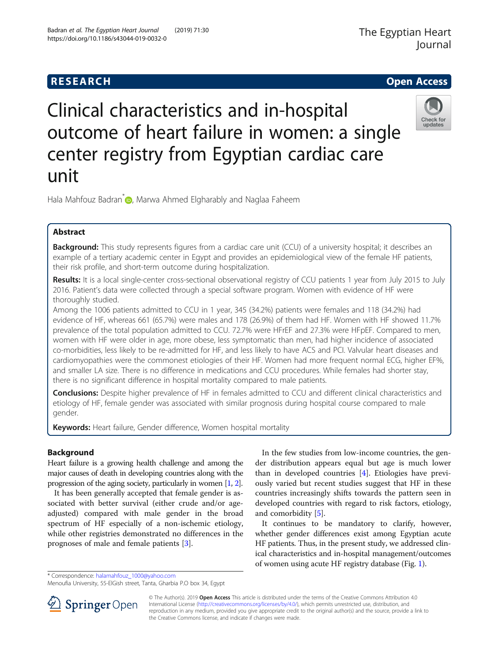

# Clinical characteristics and in-hospital outcome of heart failure in women: a single center registry from Egyptian cardiac care unit



Hala Mahfouz Badran<sup>\*</sup> [,](http://orcid.org/0000-0001-5231-750X) Marwa Ahmed Elgharably and Naglaa Faheem

# Abstract

Background: This study represents figures from a cardiac care unit (CCU) of a university hospital; it describes an example of a tertiary academic center in Egypt and provides an epidemiological view of the female HF patients, their risk profile, and short-term outcome during hospitalization.

Results: It is a local single-center cross-sectional observational registry of CCU patients 1 year from July 2015 to July 2016. Patient's data were collected through a special software program. Women with evidence of HF were thoroughly studied.

Among the 1006 patients admitted to CCU in 1 year, 345 (34.2%) patients were females and 118 (34.2%) had evidence of HF, whereas 661 (65.7%) were males and 178 (26.9%) of them had HF. Women with HF showed 11.7% prevalence of the total population admitted to CCU. 72.7% were HFrEF and 27.3% were HFpEF. Compared to men, women with HF were older in age, more obese, less symptomatic than men, had higher incidence of associated co-morbidities, less likely to be re-admitted for HF, and less likely to have ACS and PCI. Valvular heart diseases and cardiomyopathies were the commonest etiologies of their HF. Women had more frequent normal ECG, higher EF%, and smaller LA size. There is no difference in medications and CCU procedures. While females had shorter stay, there is no significant difference in hospital mortality compared to male patients.

Conclusions: Despite higher prevalence of HF in females admitted to CCU and different clinical characteristics and etiology of HF, female gender was associated with similar prognosis during hospital course compared to male gender.

Keywords: Heart failure, Gender difference, Women hospital mortality

# Background

Heart failure is a growing health challenge and among the major causes of death in developing countries along with the progression of the aging society, particularly in women [\[1,](#page-8-0) [2\]](#page-8-0).

It has been generally accepted that female gender is associated with better survival (either crude and/or ageadjusted) compared with male gender in the broad spectrum of HF especially of a non-ischemic etiology, while other registries demonstrated no differences in the prognoses of male and female patients [\[3](#page-8-0)].

In the few studies from low-income countries, the gender distribution appears equal but age is much lower than in developed countries [\[4\]](#page-8-0). Etiologies have previously varied but recent studies suggest that HF in these countries increasingly shifts towards the pattern seen in developed countries with regard to risk factors, etiology, and comorbidity [\[5](#page-8-0)].

It continues to be mandatory to clarify, however, whether gender differences exist among Egyptian acute HF patients. Thus, in the present study, we addressed clinical characteristics and in-hospital management/outcomes of women using acute HF registry database (Fig. [1](#page-1-0)).

\* Correspondence: [halamahfouz\\_1000@yahoo.com](mailto:halamahfouz_1000@yahoo.com)

Menoufia University, 55-ElGish street, Tanta, Gharbia P.O box 34, Egypt



© The Author(s). 2019 Open Access This article is distributed under the terms of the Creative Commons Attribution 4.0 International License ([http://creativecommons.org/licenses/by/4.0/\)](http://creativecommons.org/licenses/by/4.0/), which permits unrestricted use, distribution, and reproduction in any medium, provided you give appropriate credit to the original author(s) and the source, provide a link to the Creative Commons license, and indicate if changes were made.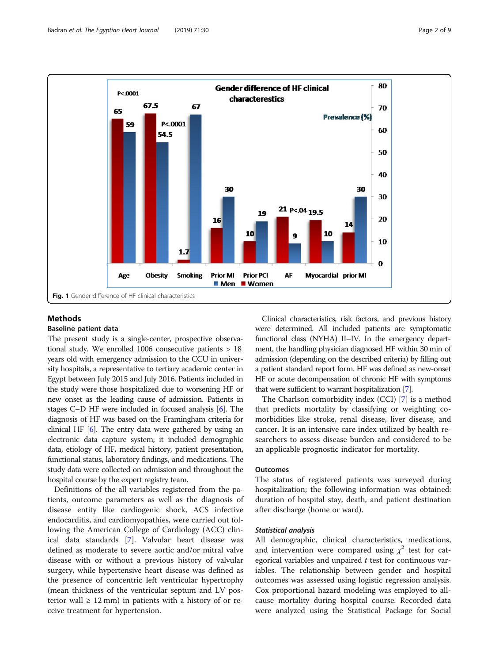<span id="page-1-0"></span>

# Methods

#### Baseline patient data

The present study is a single-center, prospective observational study. We enrolled 1006 consecutive patients > 18 years old with emergency admission to the CCU in university hospitals, a representative to tertiary academic center in Egypt between July 2015 and July 2016. Patients included in the study were those hospitalized due to worsening HF or new onset as the leading cause of admission. Patients in stages C–D HF were included in focused analysis [[6](#page-8-0)]. The diagnosis of HF was based on the Framingham criteria for clinical HF [[6\]](#page-8-0). The entry data were gathered by using an electronic data capture system; it included demographic data, etiology of HF, medical history, patient presentation, functional status, laboratory findings, and medications. The study data were collected on admission and throughout the hospital course by the expert registry team.

Definitions of the all variables registered from the patients, outcome parameters as well as the diagnosis of disease entity like cardiogenic shock, ACS infective endocarditis, and cardiomyopathies, were carried out following the American College of Cardiology (ACC) clinical data standards [\[7](#page-8-0)]. Valvular heart disease was defined as moderate to severe aortic and/or mitral valve disease with or without a previous history of valvular surgery, while hypertensive heart disease was defined as the presence of concentric left ventricular hypertrophy (mean thickness of the ventricular septum and LV posterior wall  $\geq 12$  mm) in patients with a history of or receive treatment for hypertension.

Clinical characteristics, risk factors, and previous history were determined. All included patients are symptomatic functional class (NYHA) II–IV. In the emergency department, the handling physician diagnosed HF within 30 min of admission (depending on the described criteria) by filling out a patient standard report form. HF was defined as new-onset HF or acute decompensation of chronic HF with symptoms that were sufficient to warrant hospitalization [[7](#page-8-0)].

The Charlson comorbidity index (CCI) [\[7](#page-8-0)] is a method that predicts mortality by classifying or weighting comorbidities like stroke, renal disease, liver disease, and cancer. It is an intensive care index utilized by health researchers to assess disease burden and considered to be an applicable prognostic indicator for mortality.

### Outcomes

The status of registered patients was surveyed during hospitalization; the following information was obtained: duration of hospital stay, death, and patient destination after discharge (home or ward).

#### Statistical analysis

All demographic, clinical characteristics, medications, and intervention were compared using  $\chi^2$  test for categorical variables and unpaired  $t$  test for continuous variables. The relationship between gender and hospital outcomes was assessed using logistic regression analysis. Cox proportional hazard modeling was employed to allcause mortality during hospital course. Recorded data were analyzed using the Statistical Package for Social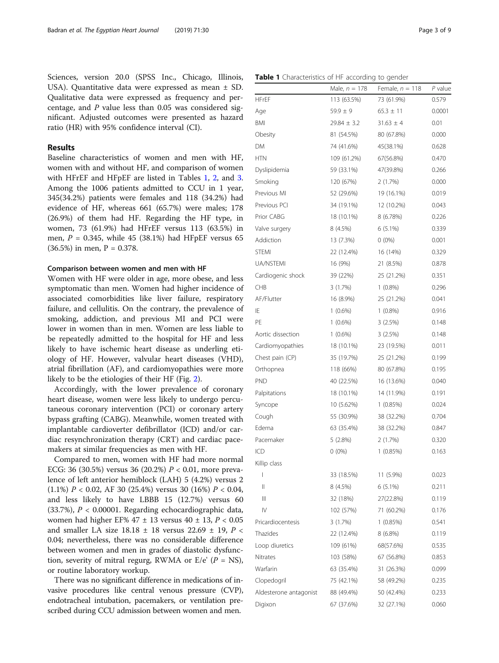Sciences, version 20.0 (SPSS Inc., Chicago, Illinois, USA). Quantitative data were expressed as mean ± SD. Qualitative data were expressed as frequency and percentage, and P value less than 0.05 was considered significant. Adjusted outcomes were presented as hazard ratio (HR) with 95% confidence interval (CI).

# Results

Baseline characteristics of women and men with HF, women with and without HF, and comparison of women with HFrEF and HFpEF are listed in Tables 1, [2,](#page-4-0) and [3](#page-5-0). Among the 1006 patients admitted to CCU in 1 year, 345(34.2%) patients were females and 118 (34.2%) had evidence of HF, whereas 661 (65.7%) were males; 178 (26.9%) of them had HF. Regarding the HF type, in women, 73 (61.9%) had HFrEF versus 113 (63.5%) in men,  $P = 0.345$ , while 45 (38.1%) had HFpEF versus 65 (36.5%) in men,  $P = 0.378$ .

#### Comparison between women and men with HF

Women with HF were older in age, more obese, and less symptomatic than men. Women had higher incidence of associated comorbidities like liver failure, respiratory failure, and cellulitis. On the contrary, the prevalence of smoking, addiction, and previous MI and PCI were lower in women than in men. Women are less liable to be repeatedly admitted to the hospital for HF and less likely to have ischemic heart disease as underling etiology of HF. However, valvular heart diseases (VHD), atrial fibrillation (AF), and cardiomyopathies were more likely to be the etiologies of their HF (Fig. [2\)](#page-6-0).

Accordingly, with the lower prevalence of coronary heart disease, women were less likely to undergo percutaneous coronary intervention (PCI) or coronary artery bypass grafting (CABG). Meanwhile, women treated with implantable cardioverter defibrillator (ICD) and/or cardiac resynchronization therapy (CRT) and cardiac pacemakers at similar frequencies as men with HF.

Compared to men, women with HF had more normal ECG: 36 (30.5%) versus 36 (20.2%)  $P < 0.01$ , more prevalence of left anterior hemiblock (LAH) 5 (4.2%) versus 2 (1.1%)  $P < 0.02$ , AF 30 (25.4%) versus 30 (16%)  $P < 0.04$ , and less likely to have LBBB 15 (12.7%) versus 60  $(33.7\%)$ ,  $P < 0.00001$ . Regarding echocardiographic data, women had higher EF% 47 ± 13 versus 40 ± 13, P < 0.05 and smaller LA size  $18.18 \pm 18$  versus  $22.69 \pm 19$ ,  $P \lt \sqrt{ }$ 0.04; nevertheless, there was no considerable difference between women and men in grades of diastolic dysfunction, severity of mitral regurg, RWMA or  $E/e'$  ( $P = NS$ ), or routine laboratory workup.

There was no significant difference in medications of invasive procedures like central venous pressure (CVP), endotracheal intubation, pacemakers, or ventilation prescribed during CCU admission between women and men.

Table 1 Characteristics of HF according to gender

|                        | Male, $n = 178$ | Female, $n = 118$ | P value |
|------------------------|-----------------|-------------------|---------|
| HFrEF                  | 113 (63.5%)     | 73 (61.9%)        | 0.579   |
| Age                    | $59.9 \pm 9$    | $65.3 \pm 11$     | 0.0001  |
| BMI                    | $29.84 \pm 3.2$ | $31.63 \pm 4$     | 0.01    |
| Obesity                | 81 (54.5%)      | 80 (67.8%)        | 0.000   |
| DΜ                     | 74 (41.6%)      | 45(38.1%)         | 0.628   |
| HTN                    | 109 (61.2%)     | 67(56.8%)         | 0.470   |
| Dyslipidemia           | 59 (33.1%)      | 47(39.8%)         | 0.266   |
| Smoking                | 120 (67%)       | 2 (1.7%)          | 0.000   |
| Previous MI            | 52 (29.6%)      | 19 (16.1%)        | 0.019   |
| Previous PCI           | 34 (19.1%)      | 12 (10.2%)        | 0.043   |
| Prior CABG             | 18 (10.1%)      | 8 (6.78%)         | 0.226   |
| Valve surgery          | 8 (4.5%)        | 6 (5.1%)          | 0.339   |
| Addiction              | 13 (7.3%)       | $0(0\%)$          | 0.001   |
| <b>STEMI</b>           | 22 (12.4%)      | 16 (14%)          | 0.329   |
| UA/NSTEMI              | 16 (9%)         | 21 (8.5%)         | 0.878   |
| Cardiogenic shock      | 39 (22%)        | 25 (21.2%)        | 0.351   |
| CHB                    | 3(1.7%)         | $1(0.8\%)$        | 0.296   |
| AF/Flutter             | 16 (8.9%)       | 25 (21.2%)        | 0.041   |
| ΙE                     | $1(0.6\%)$      | $1(0.8\%)$        | 0.916   |
| PE                     | $1(0.6\%)$      | 3(2.5%)           | 0.148   |
| Aortic dissection      | $1(0.6\%)$      | 3(2.5%)           | 0.148   |
| Cardiomyopathies       | 18 (10.1%)      | 23 (19.5%)        | 0.011   |
| Chest pain (CP)        | 35 (19.7%)      | 25 (21.2%)        | 0.199   |
| Orthopnea              | 118 (66%)       | 80 (67.8%)        | 0.195   |
| PND                    | 40 (22.5%)      | 16 (13.6%)        | 0.040   |
| Palpitations           | 18 (10.1%)      | 14 (11.9%)        | 0.191   |
| Syncope                | 10 (5.62%)      | 1(0.85%)          | 0.024   |
| Cough                  | 55 (30.9%)      | 38 (32.2%)        | 0.704   |
| Edema                  | 63 (35.4%)      | 38 (32.2%)        | 0.847   |
| Pacemaker              | 5(2.8%)         | 2(1.7%)           | 0.320   |
| ICD                    | $0(0\%)$        | 1(0.85%)          | 0.163   |
| Killip class           |                 |                   |         |
| I                      | 33 (18.5%)      | 11 (5.9%)         | 0.023   |
| Ш                      | 8 (4.5%)        | 6 (5.1%)          | 0.211   |
| Ш                      | 32 (18%)        | 27(22.8%)         | 0.119   |
| ${\sf IV}$             | 102 (57%)       | 71 (60.2%)        | 0.176   |
| Pricardiocentesis      | 3(1.7%)         | 1(0.85%)          | 0.541   |
| Thazides               | 22 (12.4%)      | 8 (6.8%)          | 0.119   |
| Loop diuretics         | 109 (61%)       | 68(57.6%)         | 0.535   |
| Nitrates               | 103 (58%)       | 67 (56.8%)        | 0.853   |
| Warfarin               | 63 (35.4%)      | 31 (26.3%)        | 0.099   |
| Clopedogril            | 75 (42.1%)      | 58 (49.2%)        | 0.235   |
| Aldesterone antagonist | 88 (49.4%)      | 50 (42.4%)        | 0.233   |
| Digixon                | 67 (37.6%)      | 32 (27.1%)        | 0.060   |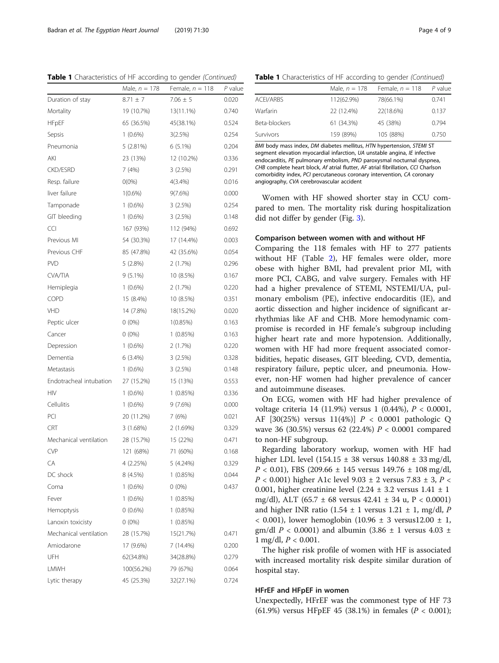Table 1 Characteristics of HF according to gender (Continued)

|                         | Male, $n = 178$ | Female, $n = 118$ | $P$ value |
|-------------------------|-----------------|-------------------|-----------|
| Duration of stay        | $8.71 \pm 7$    | $7.06 \pm 5$      | 0.020     |
| Mortality               | 19 (10.7%)      | 13(11.1%)         | 0.740     |
| <b>HFpEF</b>            | 65 (36.5%)      | 45(38.1%)         | 0.524     |
| Sepsis                  | $1(0.6\%)$      | 3(2.5%)           | 0.254     |
| Pneumonia               | 5 (2.81%)       | $6(5.1\%)$        | 0.204     |
| AKI                     | 23 (13%)        | 12 (10.2%)        | 0.336     |
| <b>CKD/ESRD</b>         | 7(4%)           | 3(2.5%)           | 0.291     |
| Resp. failure           | $O(0\%)$        | $4(3.4\%)$        | 0.016     |
| liver failure           | $1(0.6\%)$      | $9(7.6\%)$        | 0.000     |
| Tamponade               | $1(0.6\%)$      | 3(2.5%)           | 0.254     |
| GIT bleeding            | $1(0.6\%)$      | 3(2.5%)           | 0.148     |
| <b>CCI</b>              | 167 (93%)       | 112 (94%)         | 0.692     |
| Previous MI             | 54 (30.3%)      | 17 (14.4%)        | 0.003     |
| Previous CHF            | 85 (47.8%)      | 42 (35.6%)        | 0.054     |
| <b>PVD</b>              | 5 (2.8%)        | 2(1.7%)           | 0.296     |
| <b>CVA/TIA</b>          | $9(5.1\%)$      | 10 (8.5%)         | 0.167     |
| Hemiplegia              | $1(0.6\%)$      | 2(1.7%)           | 0.220     |
| <b>COPD</b>             | 15 (8.4%)       | 10 (8.5%)         | 0.351     |
| VHD                     | 14 (7.8%)       | 18(15.2%)         | 0.020     |
| Peptic ulcer            | $0(0\%)$        | $1(0.85\%)$       | 0.163     |
| Cancer                  | $0(0\%)$        | 1(0.85%)          | 0.163     |
| Depression              | $1(0.6\%)$      | 2(1.7%)           | 0.220     |
| Dementia                | 6(3.4%)         | 3(2.5%)           | 0.328     |
| Metastasis              | $1(0.6\%)$      | 3(2.5%)           | 0.148     |
| Endotracheal intubation | 27 (15.2%)      | 15 (13%)          | 0.553     |
| <b>HIV</b>              | $1(0.6\%)$      | 1(0.85%)          | 0.336     |
| Cellulitis              | $1(0.6\%)$      | 9(7.6%)           | 0.000     |
| PCI                     | 20 (11.2%)      | 7 (6%)            | 0.021     |
| <b>CRT</b>              | 3 (1.68%)       | 2 (1.69%)         | 0.329     |
| Mechanical ventilation  | 28 (15.7%)      | 15 (22%)          | 0.471     |
| <b>CVP</b>              | 121 (68%)       | 71 (60%)          | 0.168     |
| CА                      | 4 (2.25%)       | 5 (4.24%)         | 0.329     |
| DC shock                | 8 (4.5%)        | 1(0.85%)          | 0.044     |
| Coma                    | $1(0.6\%)$      | $0(0\%)$          | 0.437     |
| Fever                   | $1(0.6\%)$      | 1(0.85%)          |           |
| Hemoptysis              | $0(0.6\%)$      | 1(0.85%)          |           |
| Lanoxin toxicisty       | $0(0\%)$        | 1(0.85%)          |           |
| Mechanical ventilation  | 28 (15.7%)      | 15(21.7%)         | 0.471     |
| Amiodarone              | 17 (9.6%)       | 7 (14.4%)         | 0.200     |
| UFH                     | 62(34.8%)       | 34(28.8%)         | 0.279     |
| LMWH                    | 100(56.2%)      | 79 (67%)          | 0.064     |
| Lytic therapy           | 45 (25.3%)      | 32(27.1%)         | 0.724     |

|  | Table 1 Characteristics of HF according to gender (Continued) |  |  |  |
|--|---------------------------------------------------------------|--|--|--|
|  |                                                               |  |  |  |

|                  | Male, $n = 178$ | Female, $n = 118$ | $P$ value |
|------------------|-----------------|-------------------|-----------|
| <b>ACEI/ARBS</b> | 112(62.9%)      | 78(66.1%)         | 0.741     |
| Warfarin         | 22 (12.4%)      | 22(18.6%)         | 0.137     |
| Beta-blockers    | 61 (34.3%)      | 45 (38%)          | 0.794     |
| Survivors        | 159 (89%)       | 105 (88%)         | 0.750     |

BMI body mass index, DM diabetes mellitus, HTN hypertension, STEMI ST segment elevation myocardial infarction, UA unstable angina, IE infective endocarditis, PE pulmonary embolism, PND paroxysmal nocturnal dyspnea, CHB complete heart block, Af atrial flutter, AF atrial fibrillation, CCI Charlson comorbidity index, PCI percutaneous coronary intervention, CA coronary angiography, CVA cerebrovascular accident

Women with HF showed shorter stay in CCU compared to men. The mortality risk during hospitalization did not differ by gender (Fig. [3\)](#page-6-0).

#### Comparison between women with and without HF

Comparing the 118 females with HF to 277 patients without HF (Table [2](#page-4-0)), HF females were older, more obese with higher BMI, had prevalent prior MI, with more PCI, CABG, and valve surgery. Females with HF had a higher prevalence of STEMI, NSTEMI/UA, pulmonary embolism (PE), infective endocarditis (IE), and aortic dissection and higher incidence of significant arrhythmias like AF and CHB. More hemodynamic compromise is recorded in HF female's subgroup including higher heart rate and more hypotension. Additionally, women with HF had more frequent associated comorbidities, hepatic diseases, GIT bleeding, CVD, dementia, respiratory failure, peptic ulcer, and pneumonia. However, non-HF women had higher prevalence of cancer and autoimmune diseases.

On ECG, women with HF had higher prevalence of voltage criteria 14 (11.9%) versus 1 (0.44%), P < 0.0001, AF [30(25%) versus  $11(4%)$ ]  $P < 0.0001$  pathologic Q wave 36 (30.5%) versus 62 (22.4%) P < 0.0001 compared to non-HF subgroup.

Regarding laboratory workup, women with HF had higher LDL level  $(154.15 \pm 38 \text{ versus } 140.88 \pm 33 \text{ mg/dl})$  $P < 0.01$ ), FBS (209.66  $\pm$  145 versus 149.76  $\pm$  108 mg/dl,  $P < 0.001$ ) higher A1c level 9.03  $\pm$  2 versus 7.83  $\pm$  3,  $P <$ 0.001, higher creatinine level  $(2.24 \pm 3.2 \text{ versus } 1.41 \pm 1$ mg/dl), ALT (65.7  $\pm$  68 versus 42.41  $\pm$  34 u, P < 0.0001) and higher INR ratio (1.54  $\pm$  1 versus 1.21  $\pm$  1, mg/dl, P  $< 0.001$ ), lower hemoglobin (10.96  $\pm$  3 versus12.00  $\pm$  1, gm/dl  $P < 0.0001$ ) and albumin (3.86  $\pm$  1 versus 4.03  $\pm$ 1 mg/dl,  $P < 0.001$ .

The higher risk profile of women with HF is associated with increased mortality risk despite similar duration of hospital stay.

#### HFrEF and HFpEF in women

Unexpectedly, HFrEF was the commonest type of HF 73 (61.9%) versus HFpEF 45 (38.1%) in females ( $P < 0.001$ );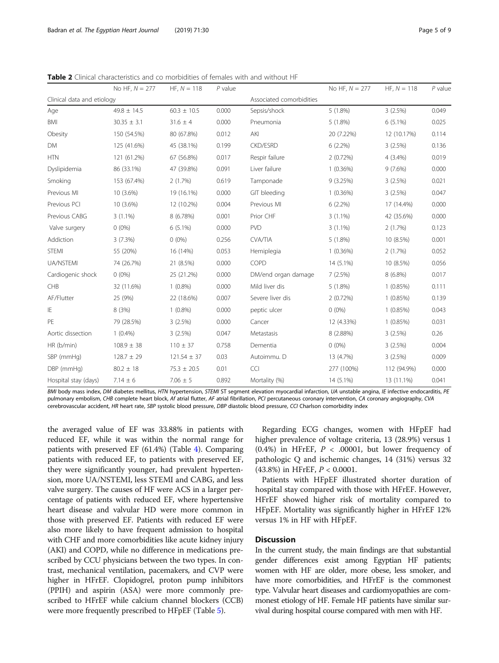<span id="page-4-0"></span>Table 2 Clinical characteristics and co morbidities of females with and without HF

|                            | No HF, $N = 277$ | $HF. N = 118$   | $P$ value |                          | No HF, $N = 277$ | $HF, N = 118$ | $P$ value |
|----------------------------|------------------|-----------------|-----------|--------------------------|------------------|---------------|-----------|
| Clinical data and etiology |                  |                 |           | Associated comorbidities |                  |               |           |
| Age                        | $49.8 \pm 14.5$  | $60.3 \pm 10.5$ | 0.000     | Sepsis/shock             | $5(1.8\%)$       | 3(2.5%)       | 0.049     |
| <b>BMI</b>                 | $30.35 \pm 3.1$  | $31.6 \pm 4$    | 0.000     | Pneumonia                | $5(1.8\%)$       | $6(5.1\%)$    | 0.025     |
| Obesity                    | 150 (54.5%)      | 80 (67.8%)      | 0.012     | AKI                      | 20 (7.22%)       | 12 (10.17%)   | 0.114     |
| DM                         | 125 (41.6%)      | 45 (38.1%)      | 0.199     | <b>CKD/ESRD</b>          | $6(2.2\%)$       | 3(2.5%)       | 0.136     |
| <b>HTN</b>                 | 121 (61.2%)      | 67 (56.8%)      | 0.017     | Respir failure           | 2(0.72%)         | 4 (3.4%)      | 0.019     |
| Dyslipidemia               | 86 (33.1%)       | 47 (39.8%)      | 0.091     | Liver failure            | 1(0.36%)         | 9(7.6%)       | 0.000     |
| Smoking                    | 153 (67.4%)      | 2(1.7%)         | 0.619     | Tamponade                | 9(3.25%)         | 3(2.5%)       | 0.021     |
| Previous MI                | 10 (3.6%)        | 19 (16.1%)      | 0.000     | GIT bleeding             | 1(0.36%)         | 3(2.5%)       | 0.047     |
| Previous PCI               | 10 (3.6%)        | 12 (10.2%)      | 0.004     | Previous MI              | $6(2.2\%)$       | 17 (14.4%)    | 0.000     |
| Previous CABG              | $3(1.1\%)$       | 8 (6.78%)       | 0.001     | Prior CHF                | $3(1.1\%)$       | 42 (35.6%)    | 0.000     |
| Valve surgery              | $0(0\%)$         | $6(5.1\%)$      | 0.000     | PVD                      | $3(1.1\%)$       | 2(1.7%)       | 0.123     |
| Addiction                  | 3(7.3%)          | $0(0\%)$        | 0.256     | <b>CVA/TIA</b>           | $5(1.8\%)$       | 10 (8.5%)     | 0.001     |
| <b>STEMI</b>               | 55 (20%)         | 16 (14%)        | 0.053     | Hemiplegia               | 1(0.36%)         | 2(1.7%)       | 0.052     |
| UA/NSTEMI                  | 74 (26.7%)       | 21 (8.5%)       | 0.000     | COPD                     | 14 (5.1%)        | 10 (8.5%)     | 0.056     |
| Cardiogenic shock          | $0(0\%)$         | 25 (21.2%)      | 0.000     | DM/end organ damage      | 7(2.5%)          | $8(6.8\%)$    | 0.017     |
| CHB                        | 32 (11.6%)       | $1(0.8\%)$      | 0.000     | Mild liver dis           | $5(1.8\%)$       | 1(0.85%)      | 0.111     |
| AF/Flutter                 | 25 (9%)          | 22 (18.6%)      | 0.007     | Severe liver dis         | 2(0.72%)         | 1(0.85%)      | 0.139     |
| IE                         | 8(3%)            | $1(0.8\%)$      | 0.000     | peptic ulcer             | $0(0\%)$         | 1(0.85%)      | 0.043     |
| PE                         | 79 (28.5%)       | 3(2.5%)         | 0.000     | Cancer                   | 12 (4.33%)       | 1(0.85%)      | 0.031     |
| Aortic dissection          | $1(0.4\%)$       | 3(2.5%)         | 0.047     | Metastasis               | 8 (2.88%)        | 3(2.5%)       | 0.26      |
| HR (b/min)                 | $108.9 \pm 38$   | $110 \pm 37$    | 0.758     | Dementia                 | $0(0\%)$         | 3(2.5%)       | 0.004     |
| SBP (mmHg)                 | $128.7 \pm 29$   | $121.54 \pm 37$ | 0.03      | Autoimmu. D              | 13 (4.7%)        | 3(2.5%)       | 0.009     |
| DBP (mmHg)                 | $80.2 \pm 18$    | $75.3 \pm 20.5$ | 0.01      | <b>CCI</b>               | 277 (100%)       | 112 (94.9%)   | 0.000     |
| Hospital stay (days)       | $7.14 \pm 6$     | $7.06 \pm 5$    | 0.892     | Mortality (%)            | 14 (5.1%)        | 13 (11.1%)    | 0.041     |

BMI body mass index, DM diabetes mellitus, HTN hypertension, STEMI ST segment elevation myocardial infarction, UA unstable angina, IE infective endocarditis, PE pulmonary embolism, CHB complete heart block, Af atrial flutter, AF atrial fibrillation, PCI percutaneous coronary intervention, CA coronary angiography, CVA cerebrovascular accident, HR heart rate, SBP systolic blood pressure, DBP diastolic blood pressure, CCI Charlson comorbidity index

the averaged value of EF was 33.88% in patients with reduced EF, while it was within the normal range for patients with preserved EF (61.4%) (Table [4\)](#page-7-0). Comparing patients with reduced EF, to patients with preserved EF, they were significantly younger, had prevalent hypertension, more UA/NSTEMI, less STEMI and CABG, and less valve surgery. The causes of HF were ACS in a larger percentage of patients with reduced EF, where hypertensive heart disease and valvular HD were more common in those with preserved EF. Patients with reduced EF were also more likely to have frequent admission to hospital with CHF and more comorbidities like acute kidney injury (AKI) and COPD, while no difference in medications prescribed by CCU physicians between the two types. In contrast, mechanical ventilation, pacemakers, and CVP were higher in HFrEF. Clopidogrel, proton pump inhibitors (PPIH) and aspirin (ASA) were more commonly prescribed to HFrEF while calcium channel blockers (CCB) were more frequently prescribed to HFpEF (Table [5\)](#page-7-0).

Regarding ECG changes, women with HFpEF had higher prevalence of voltage criteria, 13 (28.9%) versus 1 (0.4%) in HFrEF,  $P < .00001$ , but lower frequency of pathologic Q and ischemic changes, 14 (31%) versus 32 (43.8%) in HFrEF, P < 0.0001.

Patients with HFpEF illustrated shorter duration of hospital stay compared with those with HFrEF. However, HFrEF showed higher risk of mortality compared to HFpEF. Mortality was significantly higher in HFrEF 12% versus 1% in HF with HFpEF.

# **Discussion**

In the current study, the main findings are that substantial gender differences exist among Egyptian HF patients; women with HF are older, more obese, less smoker, and have more comorbidities, and HFrEF is the commonest type. Valvular heart diseases and cardiomyopathies are commonest etiology of HF. Female HF patients have similar survival during hospital course compared with men with HF.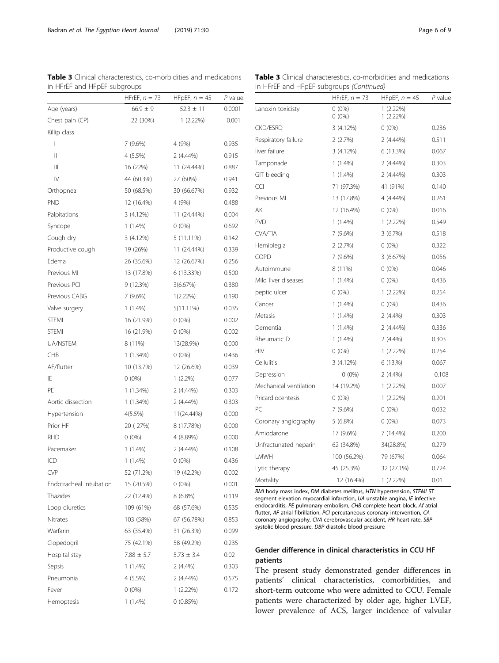<span id="page-5-0"></span>Badran et al. The Egyptian Heart Journal (2019) 71:30 Page 6 of 9

| <b>Table 3</b> Clinical characterestics, co-morbidities and medications |  |  |
|-------------------------------------------------------------------------|--|--|
| in HFrEF and HFpEF subgroups                                            |  |  |

|                                       | $\mathcal{P}$ . $\mathcal{P}$ and $\mathcal{P}$<br>HFrEF, $n = 73$ | HFpEF, $n = 45$ | $P$ value |
|---------------------------------------|--------------------------------------------------------------------|-----------------|-----------|
| Age (years)                           | $66.9 \pm 9$                                                       | $52.3 \pm 11$   | 0.0001    |
| Chest pain (CP)                       | 22 (30%)                                                           | $1(2.22\%)$     | 0.001     |
| Killip class                          |                                                                    |                 |           |
| $\overline{1}$                        | 7 (9.6%)                                                           | 4 (9%)          | 0.935     |
| Ш                                     | 4 (5.5%)                                                           | $2(4.44\%)$     | 0.915     |
| $\begin{array}{c} \hline \end{array}$ | 16 (22%)                                                           | 11 (24.44%)     | 0.887     |
| $\mathsf{IV}$                         | 44 (60.3%)                                                         | 27 (60%)        | 0.941     |
| Orthopnea                             | 50 (68.5%)                                                         | 30 (66.67%)     | 0.932     |
| <b>PND</b>                            | 12 (16.4%)                                                         | 4 (9%)          | 0.488     |
| Palpitations                          | 3 (4.12%)                                                          | 11 (24.44%)     | 0.004     |
| Syncope                               | 1 (1.4%)                                                           | $0(0\%)$        | 0.692     |
| Cough dry                             | 3 (4.12%)                                                          | $5(11.11\%)$    | 0.142     |
| Productive cough                      | 19 (26%)                                                           | 11 (24.44%)     | 0.339     |
| Edema                                 | 26 (35.6%)                                                         | 12 (26.67%)     | 0.256     |
| Previous MI                           | 13 (17.8%)                                                         | 6 (13.33%)      | 0.500     |
| Previous PCI                          | 9 (12.3%)                                                          | 3(6.67%)        | 0.380     |
| Previous CABG                         | 7 (9.6%)                                                           | $1(2.22\%)$     | 0.190     |
| Valve surgery                         | $1(1.4\%)$                                                         | $5(11.11\%)$    | 0.035     |
| <b>STEMI</b>                          | 16 (21.9%)                                                         | $0(0\%)$        | 0.002     |
| <b>STEMI</b>                          | 16 (21.9%)                                                         | $0(0\%)$        | 0.002     |
| UA/NSTEMI                             | 8 (11%)                                                            | 13(28.9%)       | 0.000     |
| <b>CHB</b>                            | 1 (1.34%)                                                          | $0(0\%)$        | 0.436     |
| AF/flutter                            | 10 (13.7%)                                                         | 12 (26.6%)      | 0.039     |
| ΙE                                    | $0(0\%)$                                                           | $1(2.2\%)$      | 0.077     |
| PE                                    | $1(1.34\%)$                                                        | 2 (4.44%)       | 0.303     |
| Aortic dissection                     | 1 (1.34%)                                                          | 2 (4.44%)       | 0.303     |
| Hypertension                          | $4(5.5\%)$                                                         | 11(24.44%)      | 0.000     |
| Prior HF                              | 20 (27%)                                                           | 8 (17.78%)      | 0.000     |
| <b>RHD</b>                            | $0(0\%)$                                                           | 4 (8.89%)       | 0.000     |
| Pacemaker                             | $1(1.4\%)$                                                         | $2(4.44\%)$     | 0.108     |
| ICD                                   | $1(1.4\%)$                                                         | $0(0\%)$        | 0.436     |
| <b>CVP</b>                            | 52 (71.2%)                                                         | 19 (42.2%)      | 0.002     |
| Endotracheal intubation               | 15 (20.5%)                                                         | $0(0\%)$        | 0.001     |
| Thazides                              | 22 (12.4%)                                                         | 8 (6.8%)        | 0.119     |
| Loop diuretics                        | 109 (61%)                                                          | 68 (57.6%)      | 0.535     |
| Nitrates                              | 103 (58%)                                                          | 67 (56.78%)     | 0.853     |
| Warfarin                              | 63 (35.4%)                                                         | 31 (26.3%)      | 0.099     |
| Clopedogril                           | 75 (42.1%)                                                         | 58 (49.2%)      | 0.235     |
| Hospital stay                         | $7.88 \pm 5.7$                                                     | $5.73 \pm 3.4$  | 0.02      |
| Sepsis                                | $1(1.4\%)$                                                         | $2(4.4\%)$      | 0.303     |
| Pneumonia                             | 4 (5.5%)                                                           | 2 (4.44%)       | 0.575     |
| Fever                                 | $0(0\%)$                                                           | $1(2.22\%)$     | 0.172     |
| Hemoptesis                            | 1 (1.4%)                                                           | 0(0.85%)        |           |

|  |                                          | <b>Table 3</b> Clinical characterestics, co-morbidities and medications |  |
|--|------------------------------------------|-------------------------------------------------------------------------|--|
|  | in HFrEF and HFpEF subgroups (Continued) |                                                                         |  |

|                        | HFrEF, $n = 73$      | HFpEF, $n = 45$            | $P$ value |
|------------------------|----------------------|----------------------------|-----------|
| Lanoxin toxicisty      | $0(0\%)$<br>$0(0\%)$ | $1(2.22\%)$<br>$1(2.22\%)$ |           |
| <b>CKD/ESRD</b>        | 3(4.12%)             | $0(0\%)$                   | 0.236     |
| Respiratory failure    | 2(2.7%)              | $2(4.44\%)$                | 0.511     |
| liver failure          | 3(4.12%)             | 6 (13.3%)                  | 0.067     |
| Tamponade              | $1(1.4\%)$           | $2(4.44\%)$                | 0.303     |
| GIT bleeding           | $1(1.4\%)$           | $2(4.44\%)$                | 0.303     |
| CCI                    | 71 (97.3%)           | 41 (91%)                   | 0.140     |
| Previous MI            | 13 (17.8%)           | 4 (4.44%)                  | 0.261     |
| AKI                    | 12 (16.4%)           | $0(0\%)$                   | 0.016     |
| <b>PVD</b>             | $1(1.4\%)$           | $1(2.22\%)$                | 0.549     |
| CVA/TIA                | 7(9.6%)              | 3(6.7%)                    | 0.518     |
| Hemiplegia             | 2(2.7%)              | $0(0\%)$                   | 0.322     |
| COPD                   | 7(9.6%)              | 3(6.67%)                   | 0.056     |
| Autoimmune             | 8 (11%)              | $0(0\%)$                   | 0.046     |
| Mild liver diseases    | $1(1.4\%)$           | $0(0\%)$                   | 0.436     |
| peptic ulcer           | $0(0\%)$             | $1(2.22\%)$                | 0.254     |
| Cancer                 | $1(1.4\%)$           | $0(0\%)$                   | 0.436     |
| Metasis                | $1(1.4\%)$           | $2(4.4\%)$                 | 0.303     |
| Dementia               | $1(1.4\%)$           | $2(4.44\%)$                | 0.336     |
| Rheumatic D            | $1(1.4\%)$           | $2(4.4\%)$                 | 0.303     |
| HIV                    | $0(0\%)$             | $1(2.22\%)$                | 0.254     |
| Cellulitis             | 3(4.12%)             | 6 (13.%)                   | 0.067     |
| Depression             | $0(0\%)$             | $2(4.4\%)$                 | 0.108     |
| Mechanical ventilation | 14 (19.2%)           | $1(2.22\%)$                | 0.007     |
| Pricardiocentesis      | $0(0\%)$             | $1(2.22\%)$                | 0.201     |
| PCI                    | 7 (9.6%)             | $0(0\%)$                   | 0.032     |
| Coronary angiography   | $5(6.8\%)$           | $0(0\%)$                   | 0.073     |
| Amiodarone             | 17 (9.6%)            | 7 (14.4%)                  | 0.200     |
| Unfractunated heparin  | 62 (34.8%)           | 34(28.8%)                  | 0.279     |
| LMWH                   | 100 (56.2%)          | 79 (67%)                   | 0.064     |
| Lytic therapy          | 45 (25.3%)           | 32 (27.1%)                 | 0.724     |
| Mortality              | 12 (16.4%)           | $1(2.22\%)$                | 0.01      |

BMI body mass index, DM diabetes mellitus, HTN hypertension, STEMI ST segment elevation myocardial infarction, UA unstable angina, IE infective endocarditis, PE pulmonary embolism, CHB complete heart block, Af atrial flutter, AF atrial fibrillation, PCI percutaneous coronary intervention, CA coronary angiography, CVA cerebrovascular accident, HR heart rate, SBP systolic blood pressure, DBP diastolic blood pressure

# Gender difference in clinical characteristics in CCU HF patients

The present study demonstrated gender differences in patients' clinical characteristics, comorbidities, and short-term outcome who were admitted to CCU. Female patients were characterized by older age, higher LVEF, lower prevalence of ACS, larger incidence of valvular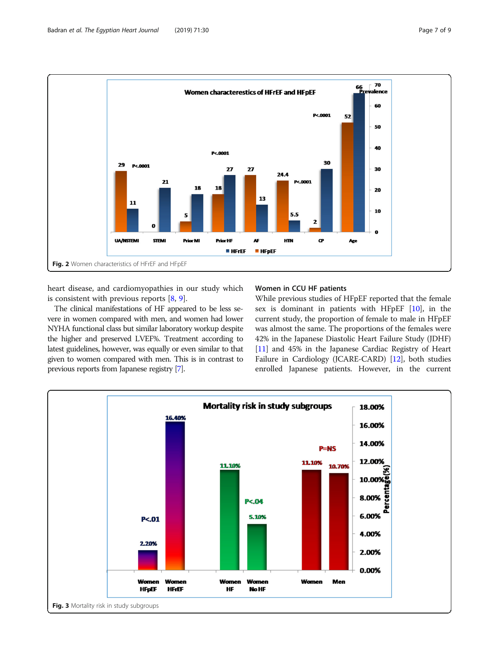<span id="page-6-0"></span>

heart disease, and cardiomyopathies in our study which is consistent with previous reports [[8,](#page-8-0) [9](#page-8-0)].

The clinical manifestations of HF appeared to be less severe in women compared with men, and women had lower NYHA functional class but similar laboratory workup despite the higher and preserved LVEF%. Treatment according to latest guidelines, however, was equally or even similar to that given to women compared with men. This is in contrast to previous reports from Japanese registry [[7](#page-8-0)].

# Women in CCU HF patients

While previous studies of HFpEF reported that the female sex is dominant in patients with HFpEF [[10](#page-8-0)], in the current study, the proportion of female to male in HFpEF was almost the same. The proportions of the females were 42% in the Japanese Diastolic Heart Failure Study (JDHF) [[11](#page-8-0)] and 45% in the Japanese Cardiac Registry of Heart Failure in Cardiology (JCARE-CARD) [[12](#page-8-0)], both studies enrolled Japanese patients. However, in the current

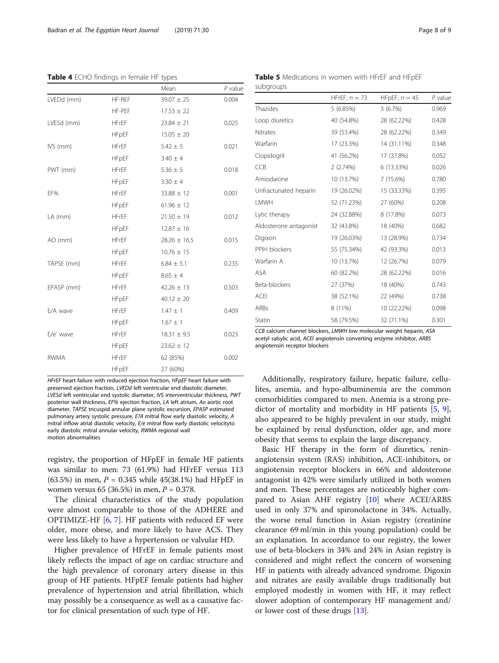<span id="page-7-0"></span>Table 4 ECHO findings in female HF types

|             |              | Mean             | $P$ value |
|-------------|--------------|------------------|-----------|
| LVEDd (mm)  | HF-REF       | $39.07 \pm 25$   | 0.004     |
|             | HF-PEF       | $17.53 \pm 22$   |           |
| LVESd (mm)  | <b>HFrEF</b> | $23.84 \pm 21$   | 0.025     |
|             | <b>HFpEF</b> | $15.05 \pm 20$   |           |
| IVS (mm)    | <b>HFrEF</b> | $5.42 \pm 5$     | 0.021     |
|             | <b>HFpEF</b> | $3.40 \pm 4$     |           |
| PWT (mm)    | <b>HFrEF</b> | $5.36 \pm 5$     | 0.018     |
|             | <b>HFpEF</b> | $3.30 \pm 4$     |           |
| EF%         | <b>HFrEF</b> | $33.88 \pm 12$   | 0.001     |
|             | <b>HFpEF</b> | $61.96 \pm 12$   |           |
| LA (mm)     | <b>HFrEF</b> | $21.50 \pm 19$   | 0.012     |
|             | <b>HFpEF</b> | $12.87 \pm 16$   |           |
| AO (mm)     | <b>HFrEF</b> | $28.26 \pm 16.5$ | 0.015     |
|             | <b>HFpEF</b> | $10.76 \pm 15$   |           |
| TAPSE (mm)  | <b>HFrEF</b> | $6.84 \pm 5.1$   | 0.235     |
|             | <b>HFpEF</b> | $8.65 \pm 4$     |           |
| EPASP (mm)  | <b>HFrEF</b> | $42.26 \pm 13$   | 0.503     |
|             | <b>HFpEF</b> | $40.12 \pm 20$   |           |
| E/A wave    | <b>HFrEF</b> | $1.47 \pm 1$     | 0.409     |
|             | <b>HFpEF</b> | $1.67 \pm 1$     |           |
| E/e' wave   | <b>HFrEF</b> | $18.31 \pm 9.5$  | 0.023     |
|             | <b>HFpEF</b> | $23.62 \pm 12$   |           |
| <b>RWMA</b> | <b>HFrEF</b> | 62 (85%)         | 0.002     |
|             | <b>HFpEF</b> | 27 (60%)         |           |

HFrEF heart failure with reduced ejection fraction, HFpEF heart failure with preserved ejection fraction, LVEDd left ventricular end diastolic diameter, LVESd left ventricular end systolic diameter, IVS interventricular thickness, PWT posterior wall thickness, EF% ejection fraction, LA left atrium, Ao aortic root diameter, TAPSE tricuspid annular plane systolic excursion, EPASP estimated pulmonary artery systolic pressure, E?A mitral flow early diastolic velocity, A mitral inflow atrial diastolic velocity, E/e mitral flow early diastolic velocityto early diastolic mitral annular velocity, RWMA regional wall motion abnormalities

registry, the proportion of HFpEF in female HF patients was similar to men: 73 (61.9%) had HFrEF versus 113 (63.5%) in men,  $P = 0.345$  while 45(38.1%) had HFpEF in women versus 65 (36.5%) in men,  $P = 0.378$ .

The clinical characteristics of the study population were almost comparable to those of the ADHERE and OPTIMIZE-HF [\[6](#page-8-0), [7](#page-8-0)]. HF patients with reduced EF were older, more obese, and more likely to have ACS. They were less likely to have a hypertension or valvular HD.

Higher prevalence of HFrEF in female patients most likely reflects the impact of age on cardiac structure and the high prevalence of coronary artery disease in this group of HF patients. HFpEF female patients had higher prevalence of hypertension and atrial fibrillation, which may possibly be a consequence as well as a causative factor for clinical presentation of such type of HF.

Table 5 Medications in women with HFrEF and HFpEF subgroups

|                        | HFrEF, $n = 73$ | HFpEF, $n = 45$ | $P$ value |
|------------------------|-----------------|-----------------|-----------|
| Thazides               | 5(6.85%)        | 3(6.7%)         | 0.969     |
| Loop diuretics         | 40 (54.8%)      | 28 (62.22%)     | 0.428     |
| Nitrates               | 39 (53.4%)      | 28 (62.22%)     | 0.349     |
| Warfarin               | 17 (23.3%)      | 14 (31.11%)     | 0.348     |
| Clopidogril            | 41 (56.2%)      | 17 (37.8%)      | 0.052     |
| CCB                    | 2(2.74%)        | 6 (13.33%)      | 0.026     |
| Amiodarone             | 10 (13.7%)      | 7 (15.6%)       | 0.780     |
| Unfractunated heparin  | 19 (26.02%)     | 15 (33.33%)     | 0.395     |
| LMWH                   | 52 (71.23%)     | 27 (60%)        | 0.208     |
| Lytic therapy          | 24 (32.88%)     | 8 (17.8%)       | 0.073     |
| Aldosterone antagonist | 32 (43.8%)      | 18 (40%)        | 0.682     |
| Digixon                | 19 (26.03%)     | 13 (28.9%)      | 0.734     |
| PPIH blockers          | 55 (75.34%)     | 42 (93.3%)      | 0.013     |
| Warfarin A             | 10 (13.7%)      | 12 (26.7%)      | 0.079     |
| ASA                    | 60 (82.2%)      | 28 (62.22%)     | 0.016     |
| Beta-blockers          | 27 (37%)        | 18 (40%)        | 0.743     |
| <b>ACEI</b>            | 38 (52.1%)      | 22 (49%)        | 0.738     |
| ARBs                   | 8 (11%)         | 10 (22.22%)     | 0.098     |
| Statin                 | 58 (79.5%)      | 32 (71.1%)      | 0.301     |

CCB calcium channel blockers, LMWH low molecular weight heparin, ASA acetyl salsylic acid, ACEI angiotensin converting enzyme inhibitor, ARBS angiotensin receptor blockers

Additionally, respiratory failure, hepatic failure, cellulites, anemia, and hypo-albuminemia are the common comorbidities compared to men. Anemia is a strong predictor of mortality and morbidity in HF patients [\[5](#page-8-0), [9](#page-8-0)], also appeared to be highly prevalent in our study, might be explained by renal dysfunction, older age, and more obesity that seems to explain the large discrepancy.

Basic HF therapy in the form of diuretics, reninangiotensin system (RAS) inhibition, ACE-inhibitors, or angiotensin receptor blockers in 66% and aldosterone antagonist in 42% were similarly utilized in both women and men. These percentages are noticeably higher compared to Asian AHF registry [\[10\]](#page-8-0) where ACEI/ARBS used in only 37% and spironolactone in 34%. Actually, the worse renal function in Asian registry (creatinine clearance 69 ml/min in this young population) could be an explanation. In accordance to our registry, the lower use of beta-blockers in 34% and 24% in Asian registry is considered and might reflect the concern of worsening HF in patients with already advanced syndrome. Digoxin and nitrates are easily available drugs traditionally but employed modestly in women with HF, it may reflect slower adoption of contemporary HF management and/ or lower cost of these drugs [\[13\]](#page-8-0).